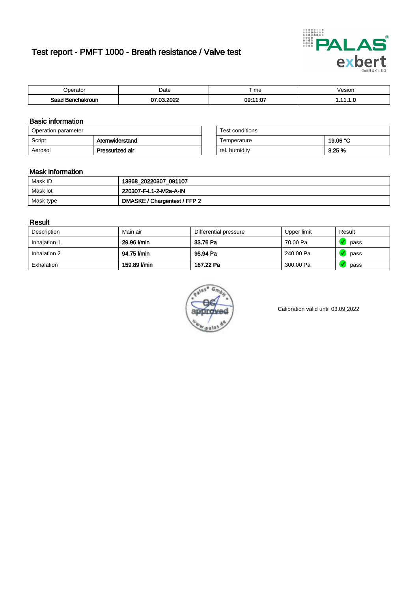# Test report - PMFT 1000 - Breath resistance / Valve test



| <b>Poerator</b>  | Date           | $- \cdot$<br>Time | √esion |
|------------------|----------------|-------------------|--------|
| Saad Benchakroun | 0000<br>$\sim$ | 09:11:07          | .      |

### Basic information

| Operation parameter |                 | Test conditions |          |
|---------------------|-----------------|-----------------|----------|
| Script              | Atemwiderstand  | Temperature     | 19.06 °C |
| Aerosol             | Pressurized air | rel. humidity   | 3.25%    |

| Test conditions |          |
|-----------------|----------|
| Temperature     | 19.06 °C |
| rel. humidity   | 3.25%    |

### Mask information

| Mask ID   | 13868_20220307_091107        |
|-----------|------------------------------|
| Mask lot  | 220307-F-L1-2-M2a-A-IN       |
| Mask type | DMASKE / Chargentest / FFP 2 |

### Result

| Description  | Main air     | Differential pressure | Upper limit | Result |
|--------------|--------------|-----------------------|-------------|--------|
| Inhalation 1 | 29.96 l/min  | 33.76 Pa              | 70.00 Pa    | pass   |
| Inhalation 2 | 94.75 l/min  | 98.94 Pa              | 240.00 Pa   | pass   |
| Exhalation   | 159.89 l/min | 167.22 Pa             | 300.00 Pa   | pass   |



Calibration valid until 03.09.2022